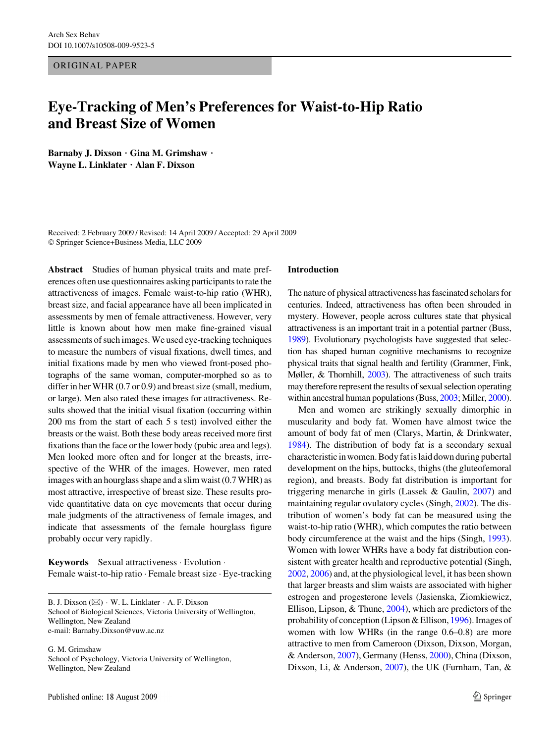ORIGINAL PAPER

# Eye-Tracking of Men's Preferences for Waist-to-Hip Ratio and Breast Size of Women

Barnaby J. Dixson  $\cdot$  Gina M. Grimshaw  $\cdot$ Wayne L. Linklater · Alan F. Dixson

Received: 2 February 2009 / Revised: 14 April 2009 / Accepted: 29 April 2009 Springer Science+Business Media, LLC 2009

Abstract Studies of human physical traits and mate preferences often use questionnaires asking participants to rate the attractiveness of images. Female waist-to-hip ratio (WHR), breast size, and facial appearance have all been implicated in assessments by men of female attractiveness. However, very little is known about how men make fine-grained visual assessments of such images. We used eye-tracking techniques to measure the numbers of visual fixations, dwell times, and initial fixations made by men who viewed front-posed photographs of the same woman, computer-morphed so as to differ in her WHR (0.7 or 0.9) and breast size (small, medium, or large). Men also rated these images for attractiveness. Results showed that the initial visual fixation (occurring within 200 ms from the start of each 5 s test) involved either the breasts or the waist. Both these body areas received more first fixations than the face or the lower body (pubic area and legs). Men looked more often and for longer at the breasts, irrespective of the WHR of the images. However, men rated images with an hourglass shape and a slim waist (0.7 WHR) as most attractive, irrespective of breast size. These results provide quantitative data on eye movements that occur during male judgments of the attractiveness of female images, and indicate that assessments of the female hourglass figure probably occur very rapidly.

Keywords Sexual attractiveness · Evolution · Female waist-to-hip ratio  $\cdot$  Female breast size  $\cdot$  Eye-tracking

B. J. Dixson  $(\boxtimes) \cdot W$ . L. Linklater  $\cdot A$ . F. Dixson School of Biological Sciences, Victoria University of Wellington, Wellington, New Zealand e-mail: Barnaby.Dixson@vuw.ac.nz

G. M. Grimshaw School of Psychology, Victoria University of Wellington, Wellington, New Zealand

#### Introduction

The nature of physical attractiveness has fascinated scholars for centuries. Indeed, attractiveness has often been shrouded in mystery. However, people across cultures state that physical attractiveness is an important trait in a potential partner (Buss, [1989](#page-6-0)). Evolutionary psychologists have suggested that selection has shaped human cognitive mechanisms to recognize physical traits that signal health and fertility (Grammer, Fink, Møller, & Thornhill, [2003](#page-6-0)). The attractiveness of such traits may therefore represent the results of sexual selection operating within ancestral human populations (Buss, [2003](#page-6-0); Miller, [2000\)](#page-7-0).

Men and women are strikingly sexually dimorphic in muscularity and body fat. Women have almost twice the amount of body fat of men (Clarys, Martin, & Drinkwater, [1984\)](#page-6-0). The distribution of body fat is a secondary sexual characteristic in women. Body fatis laiddown during pubertal development on the hips, buttocks, thighs (the gluteofemoral region), and breasts. Body fat distribution is important for triggering menarche in girls (Lassek & Gaulin, [2007\)](#page-6-0) and maintaining regular ovulatory cycles (Singh, [2002\)](#page-7-0). The distribution of women's body fat can be measured using the waist-to-hip ratio (WHR), which computes the ratio between body circumference at the waist and the hips (Singh, [1993](#page-7-0)). Women with lower WHRs have a body fat distribution consistent with greater health and reproductive potential (Singh, [2002,](#page-7-0) [2006\)](#page-7-0) and, at the physiological level, it has been shown that larger breasts and slim waists are associated with higher estrogen and progesterone levels (Jasienska, Ziomkiewicz, Ellison, Lipson, & Thune, [2004\)](#page-6-0), which are predictors of the probability of conception (Lipson & Ellison, [1996\)](#page-6-0). Images of women with low WHRs (in the range 0.6–0.8) are more attractive to men from Cameroon (Dixson, Dixson, Morgan, & Anderson, [2007](#page-6-0)), Germany (Henss, [2000\)](#page-6-0), China (Dixson, Dixson, Li, & Anderson, [2007](#page-6-0)), the UK (Furnham, Tan, &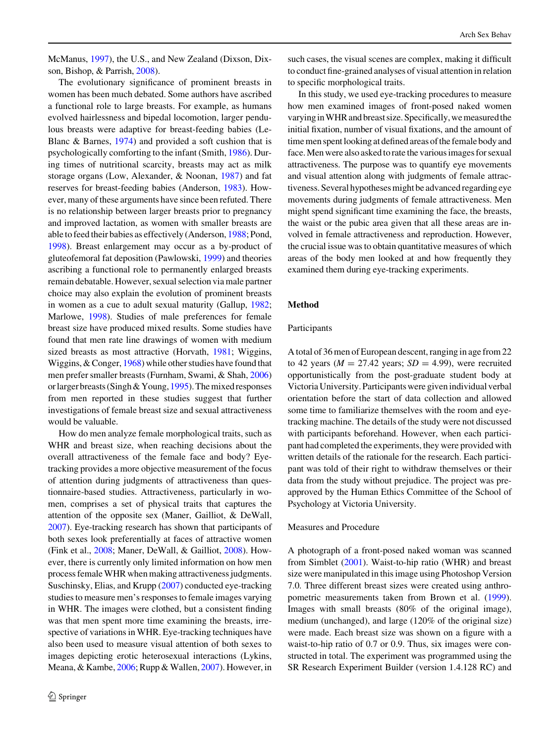McManus, [1997\)](#page-6-0), the U.S., and New Zealand (Dixson, Dixson, Bishop, & Parrish, [2008\)](#page-6-0).

The evolutionary significance of prominent breasts in women has been much debated. Some authors have ascribed a functional role to large breasts. For example, as humans evolved hairlessness and bipedal locomotion, larger pendulous breasts were adaptive for breast-feeding babies (Le-Blanc & Barnes, [1974\)](#page-6-0) and provided a soft cushion that is psychologically comforting to the infant (Smith, [1986\)](#page-7-0). During times of nutritional scarcity, breasts may act as milk storage organs (Low, Alexander, & Noonan, [1987\)](#page-6-0) and fat reserves for breast-feeding babies (Anderson, [1983](#page-6-0)). However, many of these arguments have since been refuted. There is no relationship between larger breasts prior to pregnancy and improved lactation, as women with smaller breasts are able to feed their babies as effectively (Anderson, [1988](#page-6-0); Pond, [1998\)](#page-7-0). Breast enlargement may occur as a by-product of gluteofemoral fat deposition (Pawlowski, [1999\)](#page-7-0) and theories ascribing a functional role to permanently enlarged breasts remain debatable. However, sexual selection via male partner choice may also explain the evolution of prominent breasts in women as a cue to adult sexual maturity (Gallup, [1982](#page-6-0); Marlowe, [1998\)](#page-7-0). Studies of male preferences for female breast size have produced mixed results. Some studies have found that men rate line drawings of women with medium sized breasts as most attractive (Horvath, [1981](#page-6-0); Wiggins, Wiggins, & Conger, [1968\)](#page-7-0) while other studies have found that men prefer smaller breasts (Furnham, Swami, & Shah, [2006\)](#page-6-0) orlarger breasts (Singh & Young, [1995\)](#page-7-0). The mixed responses from men reported in these studies suggest that further investigations of female breast size and sexual attractiveness would be valuable.

How do men analyze female morphological traits, such as WHR and breast size, when reaching decisions about the overall attractiveness of the female face and body? Eyetracking provides a more objective measurement of the focus of attention during judgments of attractiveness than questionnaire-based studies. Attractiveness, particularly in women, comprises a set of physical traits that captures the attention of the opposite sex (Maner, Gailliot, & DeWall, [2007\)](#page-7-0). Eye-tracking research has shown that participants of both sexes look preferentially at faces of attractive women (Fink et al., [2008;](#page-6-0) Maner, DeWall, & Gailliot, [2008](#page-7-0)). However, there is currently only limited information on how men process female WHR when making attractiveness judgments. Suschinsky, Elias, and Krupp ([2007](#page-7-0)) conducted eye-tracking studies to measure men's responses to female images varying in WHR. The images were clothed, but a consistent finding was that men spent more time examining the breasts, irrespective of variations in WHR. Eye-tracking techniques have also been used to measure visual attention of both sexes to images depicting erotic heterosexual interactions (Lykins, Meana, & Kambe, [2006](#page-6-0); Rupp & Wallen, [2007\)](#page-7-0). However, in such cases, the visual scenes are complex, making it difficult to conduct fine-grained analyses of visual attention in relation to specific morphological traits.

In this study, we used eye-tracking procedures to measure how men examined images of front-posed naked women varying inWHR and breastsize. Specifically,wemeasuredthe initial fixation, number of visual fixations, and the amount of time men spent looking at defined areas of the female body and face. Men were also asked to rate the various images for sexual attractiveness. The purpose was to quantify eye movements and visual attention along with judgments of female attractiveness. Several hypotheses might be advanced regarding eye movements during judgments of female attractiveness. Men might spend significant time examining the face, the breasts, the waist or the pubic area given that all these areas are involved in female attractiveness and reproduction. However, the crucial issue was to obtain quantitative measures of which areas of the body men looked at and how frequently they examined them during eye-tracking experiments.

# Method

## Participants

A total of 36 men of European descent, ranging in age from 22 to 42 years ( $M = 27.42$  years;  $SD = 4.99$ ), were recruited opportunistically from the post-graduate student body at Victoria University. Participants were given individual verbal orientation before the start of data collection and allowed some time to familiarize themselves with the room and eyetracking machine. The details of the study were not discussed with participants beforehand. However, when each participant had completed the experiments, they were provided with written details of the rationale for the research. Each participant was told of their right to withdraw themselves or their data from the study without prejudice. The project was preapproved by the Human Ethics Committee of the School of Psychology at Victoria University.

## Measures and Procedure

A photograph of a front-posed naked woman was scanned from Simblet [\(2001\)](#page-7-0). Waist-to-hip ratio (WHR) and breast size were manipulated in this image using Photoshop Version 7.0. Three different breast sizes were created using anthropometric measurements taken from Brown et al. ([1999](#page-6-0)). Images with small breasts (80% of the original image), medium (unchanged), and large (120% of the original size) were made. Each breast size was shown on a figure with a waist-to-hip ratio of 0.7 or 0.9. Thus, six images were constructed in total. The experiment was programmed using the SR Research Experiment Builder (version 1.4.128 RC) and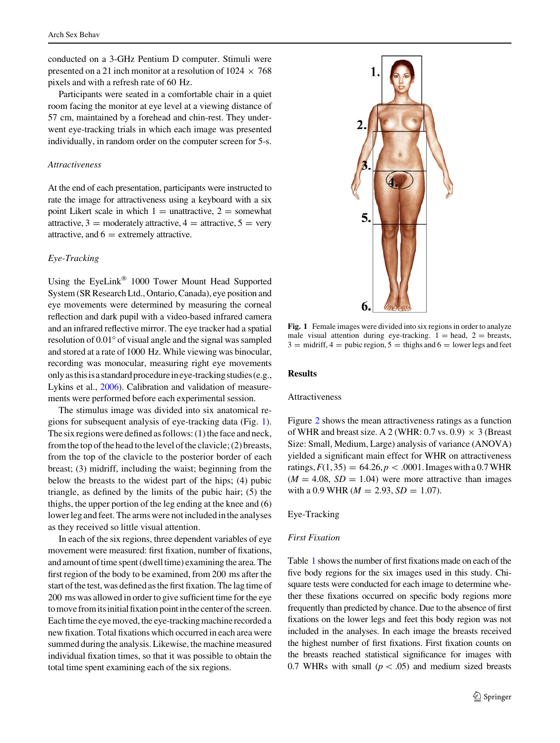conducted on a 3-GHz Pentium D computer. Stimuli were presented on a 21 inch monitor at a resolution of  $1024 \times 768$ pixels and with a refresh rate of 60 Hz.

Participants were seated in a comfortable chair in a quiet room facing the monitor at eye level at a viewing distance of 57 cm, maintained by a forehead and chin-rest. They underwent eye-tracking trials in which each image was presented individually, in random order on the computer screen for 5-s.

## **Attractiveness**

At the end of each presentation, participants were instructed to rate the image for attractiveness using a keyboard with a six point Likert scale in which  $1 =$  unattractive,  $2 =$  somewhat attractive,  $3 =$  moderately attractive,  $4 =$  attractive,  $5 =$  very attractive, and  $6 =$  extremely attractive.

# Eye-Tracking

Using the EyeLink® 1000 Tower Mount Head Supported System (SR Research Ltd., Ontario, Canada), eye position and eye movements were determined by measuring the corneal reflection and dark pupil with a video-based infrared camera and an infrared reflective mirror. The eye tracker had a spatial resolution of  $0.01^{\circ}$  of visual angle and the signal was sampled and stored at a rate of 1000 Hz. While viewing was binocular, recording was monocular, measuring right eye movements onlyasthisisastandardprocedureineye-trackingstudies(e.g., Lykins et al., [2006](#page-6-0)). Calibration and validation of measurements were performed before each experimental session.

The stimulus image was divided into six anatomical regions for subsequent analysis of eye-tracking data (Fig. 1). The six regions were defined as follows: (1) the face and neck, from the top of the head to the level of the clavicle; (2) breasts, from the top of the clavicle to the posterior border of each breast; (3) midriff, including the waist; beginning from the below the breasts to the widest part of the hips; (4) pubic triangle, as defined by the limits of the pubic hair; (5) the thighs, the upper portion of the leg ending at the knee and (6) lower leg and feet. The arms were not included in the analyses as they received so little visual attention.

In each of the six regions, three dependent variables of eye movement were measured: first fixation, number of fixations, and amount of time spent (dwell time) examining the area. The first region of the body to be examined, from 200 ms after the start of the test, was defined as the first fixation. The lag time of 200 ms was allowed in order to give sufficient time for the eye to move from its initial fixation point in the center of the screen. Each time the eye moved, the eye-tracking machine recorded a new fixation. Total fixations which occurred in each area were summed during the analysis. Likewise, the machine measured individual fixation times, so that it was possible to obtain the total time spent examining each of the six regions.



Fig. 1 Female images were divided into six regions in order to analyze male visual attention during eye-tracking.  $1 =$  head,  $2 =$  breasts,  $3 =$  midriff,  $4 =$  pubic region,  $5 =$  thighs and  $6 =$  lower legs and feet

# Results

# Attractiveness

Figure [2](#page-3-0) shows the mean attractiveness ratings as a function of WHR and breast size. A 2 (WHR: 0.7 vs. 0.9)  $\times$  3 (Breast Size: Small, Medium, Large) analysis of variance (ANOVA) yielded a significant main effect for WHR on attractiveness ratings,  $F(1,35) = 64.26, p < .0001$ . Images with a 0.7 WHR  $(M = 4.08, SD = 1.04)$  were more attractive than images with a 0.9 WHR ( $M = 2.93$ ,  $SD = 1.07$ ).

#### Eye-Tracking

## First Fixation

Table [1](#page-4-0) shows the number of first fixations made on each of the five body regions for the six images used in this study. Chisquare tests were conducted for each image to determine whether these fixations occurred on specific body regions more frequently than predicted by chance. Due to the absence of first fixations on the lower legs and feet this body region was not included in the analyses. In each image the breasts received the highest number of first fixations. First fixation counts on the breasts reached statistical significance for images with 0.7 WHRs with small  $(p < 0.05)$  and medium sized breasts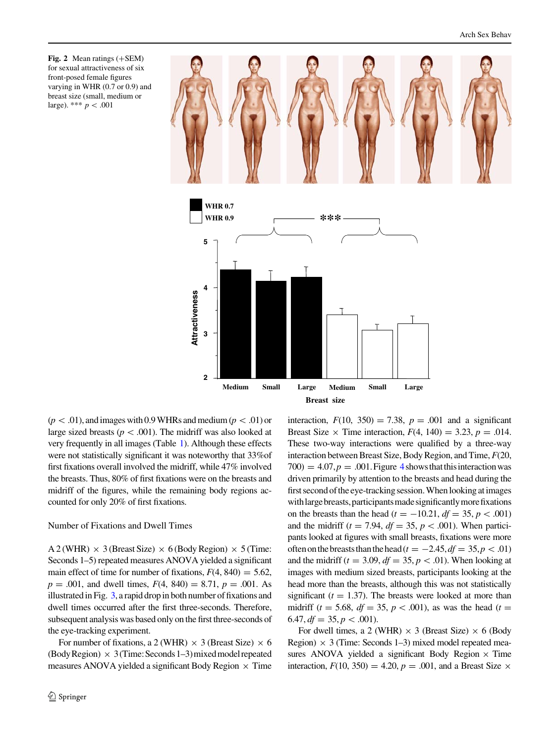<span id="page-3-0"></span>Fig. 2 Mean ratings  $(+SEM)$ for sexual attractiveness of six front-posed female figures varying in WHR (0.7 or 0.9) and breast size (small, medium or large). \*\*\*  $p < .001$ 



 $(p\,<.01)$ , and images with 0.9 WHRs and medium ( $p\,<.01$ ) or large sized breasts ( $p < .001$ ). The midriff was also looked at very frequently in all images (Table [1\)](#page-4-0). Although these effects were not statistically significant it was noteworthy that 33%of first fixations overall involved the midriff, while 47% involved the breasts. Thus, 80% of first fixations were on the breasts and midriff of the figures, while the remaining body regions accounted for only 20% of first fixations.

# Number of Fixations and Dwell Times

A 2 (WHR)  $\times$  3 (Breast Size)  $\times$  6 (Body Region)  $\times$  5 (Time: Seconds 1–5) repeated measures ANOVA yielded a significant main effect of time for number of fixations,  $F(4, 840) = 5.62$ ,  $p = .001$ , and dwell times,  $F(4, 840) = 8.71$ ,  $p = .001$ . As illustrated in Fig. [3,](#page-4-0) a rapid drop in both number of fixations and dwell times occurred after the first three-seconds. Therefore, subsequent analysis was based only on the first three-seconds of the eye-tracking experiment.

For number of fixations, a 2 (WHR)  $\times$  3 (Breast Size)  $\times$  6 (Body Region)  $\times$  3(Time: Seconds 1–3) mixed model repeated measures ANOVA yielded a significant Body Region  $\times$  Time interaction,  $F(10, 350) = 7.38$ ,  $p = .001$  and a significant Breast Size  $\times$  Time interaction,  $F(4, 140) = 3.23, p = .014$ . These two-way interactions were qualified by a three-way interaction between Breast Size, Body Region, and Time, F(20,  $700$ ) = [4](#page-4-0).07,  $p = .001$ . Figure 4 shows that this interaction was driven primarily by attention to the breasts and head during the first second of the eye-tracking session. When looking at images with large breasts, participants made significantly more fixations on the breasts than the head ( $t = -10.21$ ,  $df = 35$ ,  $p < .001$ ) and the midriff ( $t = 7.94$ ,  $df = 35$ ,  $p < .001$ ). When participants looked at figures with small breasts, fixations were more often on the breasts than the head ( $t = -2.45$ ,  $df = 35$ ,  $p < .01$ ) and the midriff ( $t = 3.09$ ,  $df = 35$ ,  $p < .01$ ). When looking at images with medium sized breasts, participants looking at the head more than the breasts, although this was not statistically significant ( $t = 1.37$ ). The breasts were looked at more than midriff ( $t = 5.68$ ,  $df = 35$ ,  $p < .001$ ), as was the head ( $t =$ 6.47,  $df = 35$ ,  $p < .001$ ).

For dwell times, a 2 (WHR)  $\times$  3 (Breast Size)  $\times$  6 (Body Region)  $\times$  3 (Time: Seconds 1–3) mixed model repeated measures ANOVA yielded a significant Body Region  $\times$  Time interaction,  $F(10, 350) = 4.20$ ,  $p = .001$ , and a Breast Size  $\times$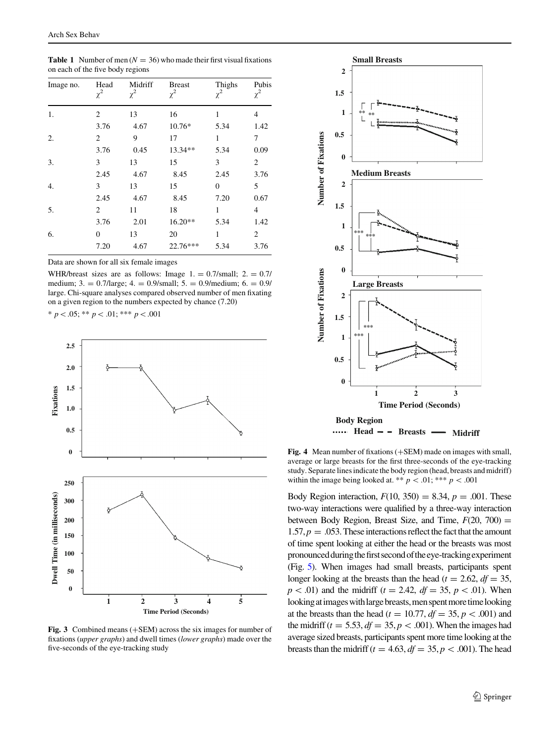<span id="page-4-0"></span>**Table 1** Number of men  $(N = 36)$  who made their first visual fixations on each of the five body regions

| Image no. | Head<br>$\chi^2$ | Midriff<br>$\chi^2$ | <b>Breast</b><br>$\chi^2$ | Thighs<br>$\chi^2$ | Pubis<br>$\chi^2$ |
|-----------|------------------|---------------------|---------------------------|--------------------|-------------------|
| 1.        | 2                | 13                  | 16                        | 1                  | 4                 |
|           | 3.76             | 4.67                | 10.76*                    | 5.34               | 1.42              |
| 2.        | 2                | 9                   | 17                        | 1                  | 7                 |
|           | 3.76             | 0.45                | 13.34**                   | 5.34               | 0.09              |
| 3.        | 3                | 13                  | 15                        | 3                  | 2                 |
|           | 2.45             | 4.67                | 8.45                      | 2.45               | 3.76              |
| 4.        | 3                | 13                  | 15                        | $\mathbf{0}$       | 5                 |
|           | 2.45             | 4.67                | 8.45                      | 7.20               | 0.67              |
| 5.        | $\overline{c}$   | 11                  | 18                        | 1                  | 4                 |
|           | 3.76             | 2.01                | $16.20**$                 | 5.34               | 1.42              |
| 6.        | $\Omega$         | 13                  | 20                        | 1                  | 2                 |
|           | 7.20             | 4.67                | 22.76***                  | 5.34               | 3.76              |

Data are shown for all six female images

WHR/breast sizes are as follows: Image  $1. = 0.7$ /small;  $2. = 0.7$ / medium; 3. = 0.7/large; 4. = 0.9/small; 5. = 0.9/medium; 6. = 0.9/ large. Chi-square analyses compared observed number of men fixating on a given region to the numbers expected by chance (7.20)

 $* p < 0.05; ** p < 0.01; *** p < 0.001$ 



Fig. 3 Combined means  $(+SEM)$  across the six images for number of fixations (upper graphs) and dwell times (lower graphs) made over the five-seconds of the eye-tracking study



Fig. 4 Mean number of fixations  $(+SEM)$  made on images with small, average or large breasts for the first three-seconds of the eye-tracking study. Separate lines indicate the body region (head, breasts and midriff) within the image being looked at. \*\*  $p \lt 0.01$ ; \*\*\*  $p \lt 0.001$ 

Body Region interaction,  $F(10, 350) = 8.34$ ,  $p = .001$ . These two-way interactions were qualified by a three-way interaction between Body Region, Breast Size, and Time,  $F(20, 700) =$  $1.57, p = .053$ . These interactions reflect the fact that the amount of time spent looking at either the head or the breasts was most pronounced during the first second of the eye-tracking experiment (Fig. [5\)](#page-5-0). When images had small breasts, participants spent longer looking at the breasts than the head ( $t = 2.62$ ,  $df = 35$ ,  $p \lt 0.01$  and the midriff (t = 2.42,  $df = 35$ ,  $p \lt 0.01$ ). When looking at images with large breasts, men spent more time looking at the breasts than the head ( $t = 10.77$ ,  $df = 35$ ,  $p < .001$ ) and the midriff ( $t = 5.53$ ,  $df = 35$ ,  $p < .001$ ). When the images had average sized breasts, participants spent more time looking at the breasts than the midriff ( $t = 4.63$ ,  $df = 35$ ,  $p < .001$ ). The head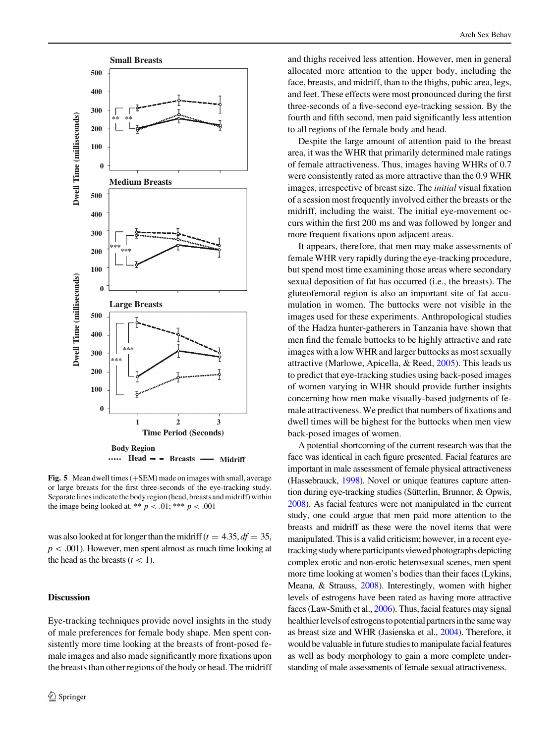<span id="page-5-0"></span>

Fig. 5 Mean dwell times  $(+SEM)$  made on images with small, average or large breasts for the first three-seconds of the eye-tracking study. Separate lines indicate the body region (head, breasts and midriff) within the image being looked at. \*\*  $p$  < .01; \*\*\*  $p$  < .001

was also looked at for longer than the midriff ( $t = 4.35$ ,  $df = 35$ ,  $p\lt 0.001$ ). However, men spent almost as much time looking at the head as the breasts  $(t<1)$ .

# **Discussion**

Eye-tracking techniques provide novel insights in the study of male preferences for female body shape. Men spent consistently more time looking at the breasts of front-posed female images and also made significantly more fixations upon the breasts than other regions of the body or head. The midriff

and thighs received less attention. However, men in general allocated more attention to the upper body, including the face, breasts, and midriff, than to the thighs, pubic area, legs, and feet. These effects were most pronounced during the first three-seconds of a five-second eye-tracking session. By the fourth and fifth second, men paid significantly less attention to all regions of the female body and head.

Despite the large amount of attention paid to the breast area, it was the WHR that primarily determined male ratings of female attractiveness. Thus, images having WHRs of 0.7 were consistently rated as more attractive than the 0.9 WHR images, irrespective of breast size. The initial visual fixation of a session most frequently involved either the breasts or the midriff, including the waist. The initial eye-movement occurs within the first 200 ms and was followed by longer and more frequent fixations upon adjacent areas.

It appears, therefore, that men may make assessments of female WHR very rapidly during the eye-tracking procedure, but spend most time examining those areas where secondary sexual deposition of fat has occurred (i.e., the breasts). The gluteofemoral region is also an important site of fat accumulation in women. The buttocks were not visible in the images used for these experiments. Anthropological studies of the Hadza hunter-gatherers in Tanzania have shown that men find the female buttocks to be highly attractive and rate images with a low WHR and larger buttocks as most sexually attractive (Marlowe, Apicella, & Reed, [2005](#page-7-0)). This leads us to predict that eye-tracking studies using back-posed images of women varying in WHR should provide further insights concerning how men make visually-based judgments of female attractiveness. We predict that numbers of fixations and dwell times will be highest for the buttocks when men view back-posed images of women.

A potential shortcoming of the current research was that the face was identical in each figure presented. Facial features are important in male assessment of female physical attractiveness (Hassebrauck, [1998\)](#page-6-0). Novel or unique features capture attention during eye-tracking studies (Sütterlin, Brunner, & Opwis, [2008](#page-7-0)). As facial features were not manipulated in the current study, one could argue that men paid more attention to the breasts and midriff as these were the novel items that were manipulated. This is a valid criticism; however, in a recent eyetracking study where participants viewed photographs depicting complex erotic and non-erotic heterosexual scenes, men spent more time looking at women's bodies than their faces (Lykins, Meana, & Strauss, [2008\)](#page-7-0). Interestingly, women with higher levels of estrogens have been rated as having more attractive faces (Law-Smith et al., [2006](#page-6-0)). Thus, facial features may signal healthier levels of estrogens to potential partners in the same way as breast size and WHR (Jasienska et al., [2004\)](#page-6-0). Therefore, it would be valuable in future studies to manipulate facial features as well as body morphology to gain a more complete understanding of male assessments of female sexual attractiveness.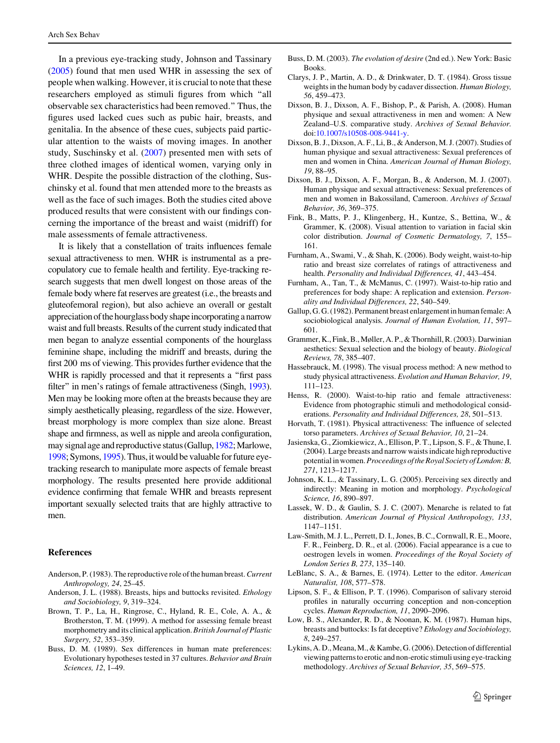<span id="page-6-0"></span>In a previous eye-tracking study, Johnson and Tassinary (2005) found that men used WHR in assessing the sex of people when walking. However, it is crucial to note that these researchers employed as stimuli figures from which ''all observable sex characteristics had been removed.'' Thus, the figures used lacked cues such as pubic hair, breasts, and genitalia. In the absence of these cues, subjects paid particular attention to the waists of moving images. In another study, Suschinsky et al. [\(2007](#page-7-0)) presented men with sets of three clothed images of identical women, varying only in WHR. Despite the possible distraction of the clothing, Suschinsky et al. found that men attended more to the breasts as well as the face of such images. Both the studies cited above produced results that were consistent with our findings concerning the importance of the breast and waist (midriff) for male assessments of female attractiveness.

It is likely that a constellation of traits influences female sexual attractiveness to men. WHR is instrumental as a precopulatory cue to female health and fertility. Eye-tracking research suggests that men dwell longest on those areas of the female body where fat reserves are greatest (i.e., the breasts and gluteofemoral region), but also achieve an overall or gestalt appreciation of the hourglass body shape incorporating a narrow waist and full breasts. Results of the current study indicated that men began to analyze essential components of the hourglass feminine shape, including the midriff and breasts, during the first 200 ms of viewing. This provides further evidence that the WHR is rapidly processed and that it represents a "first pass" filter" in men's ratings of female attractiveness (Singh, [1993\)](#page-7-0). Men may be looking more often at the breasts because they are simply aesthetically pleasing, regardless of the size. However, breast morphology is more complex than size alone. Breast shape and firmness, as well as nipple and areola configuration, may signal age and reproductive status (Gallup, 1982; Marlowe, [1998](#page-7-0); Symons, [1995](#page-7-0)). Thus, it would be valuable for future eyetracking research to manipulate more aspects of female breast morphology. The results presented here provide additional evidence confirming that female WHR and breasts represent important sexually selected traits that are highly attractive to men.

# References

- Anderson, P. (1983). The reproductive role of the human breast. Current Anthropology, 24, 25–45.
- Anderson, J. L. (1988). Breasts, hips and buttocks revisited. Ethology and Sociobiology, 9, 319–324.
- Brown, T. P., La, H., Ringrose, C., Hyland, R. E., Cole, A. A., & Brotherston, T. M. (1999). A method for assessing female breast morphometry and its clinical application.British Journal of Plastic Surgery, 52, 353–359.
- Buss, D. M. (1989). Sex differences in human mate preferences: Evolutionary hypotheses tested in 37 cultures. Behavior and Brain Sciences, 12, 1–49.
- Buss, D. M. (2003). The evolution of desire (2nd ed.). New York: Basic Books.
- Clarys, J. P., Martin, A. D., & Drinkwater, D. T. (1984). Gross tissue weights in the human body by cadaver dissection. Human Biology, 56, 459–473.
- Dixson, B. J., Dixson, A. F., Bishop, P., & Parish, A. (2008). Human physique and sexual attractiveness in men and women: A New Zealand–U.S. comparative study. Archives of Sexual Behavior. doi[:10.1007/s10508-008-9441-y](http://dx.doi.org/10.1007/s10508-008-9441-y).
- Dixson, B. J., Dixson, A. F., Li, B., & Anderson, M. J. (2007). Studies of human physique and sexual attractiveness: Sexual preferences of men and women in China. American Journal of Human Biology, 19, 88–95.
- Dixson, B. J., Dixson, A. F., Morgan, B., & Anderson, M. J. (2007). Human physique and sexual attractiveness: Sexual preferences of men and women in Bakossiland, Cameroon. Archives of Sexual Behavior, 36, 369–375.
- Fink, B., Matts, P. J., Klingenberg, H., Kuntze, S., Bettina, W., & Grammer, K. (2008). Visual attention to variation in facial skin color distribution. Journal of Cosmetic Dermatology, 7, 155– 161.
- Furnham, A., Swami, V., & Shah, K. (2006). Body weight, waist-to-hip ratio and breast size correlates of ratings of attractiveness and health. Personality and Individual Differences, 41, 443–454.
- Furnham, A., Tan, T., & McManus, C. (1997). Waist-to-hip ratio and preferences for body shape: A replication and extension. Personality and Individual Differences, 22, 540–549.
- Gallup, G. G. (1982). Permanent breast enlargement in human female: A sociobiological analysis. Journal of Human Evolution, 11, 597-601.
- Grammer, K., Fink, B., Møller, A. P., & Thornhill, R. (2003). Darwinian aesthetics: Sexual selection and the biology of beauty. Biological Reviews, 78, 385–407.
- Hassebrauck, M. (1998). The visual process method: A new method to study physical attractiveness. Evolution and Human Behavior, 19, 111–123.
- Henss, R. (2000). Waist-to-hip ratio and female attractiveness: Evidence from photographic stimuli and methodological considerations. Personality and Individual Differences, 28, 501–513.
- Horvath, T. (1981). Physical attractiveness: The influence of selected torso parameters. Archives of Sexual Behavior, 10, 21–24.
- Jasienska, G., Ziomkiewicz, A., Ellison, P. T., Lipson, S. F., & Thune, I. (2004). Large breasts and narrow waists indicate high reproductive potential in women.Proceedings of the Royal Society of London: B, 271, 1213–1217.
- Johnson, K. L., & Tassinary, L. G. (2005). Perceiving sex directly and indirectly: Meaning in motion and morphology. Psychological Science, 16, 890–897.
- Lassek, W. D., & Gaulin, S. J. C. (2007). Menarche is related to fat distribution. American Journal of Physical Anthropology, 133, 1147–1151.
- Law-Smith, M. J. L., Perrett, D. I., Jones, B. C., Cornwall, R. E., Moore, F. R., Feinberg, D. R., et al. (2006). Facial appearance is a cue to oestrogen levels in women. Proceedings of the Royal Society of London Series B, 273, 135–140.
- LeBlanc, S. A., & Barnes, E. (1974). Letter to the editor. American Naturalist, 108, 577–578.
- Lipson, S. F., & Ellison, P. T. (1996). Comparison of salivary steroid profiles in naturally occurring conception and non-conception cycles. Human Reproduction, 11, 2090–2096.
- Low, B. S., Alexander, R. D., & Noonan, K. M. (1987). Human hips, breasts and buttocks: Is fat deceptive? Ethology and Sociobiology, 8, 249–257.
- Lykins, A. D., Meana, M., & Kambe, G. (2006). Detection of differential viewing patterns to erotic and non-erotic stimuli using eye-tracking methodology. Archives of Sexual Behavior, 35, 569–575.